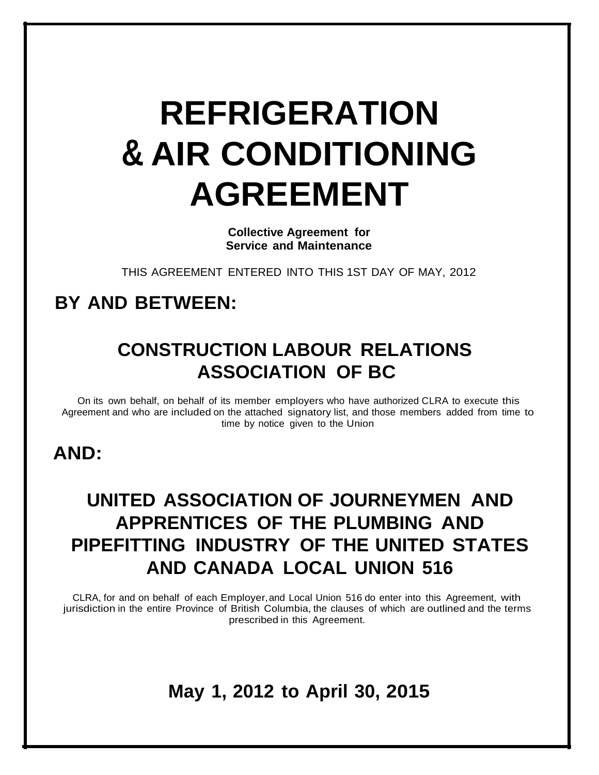# **REFRIGERATION & AIR CONDITIONING AGREEMENT**

**Collective Agreement for Service and Maintenance**

THIS AGREEMENT ENTERED INTO THIS 1ST DAY OF MAY, 2012

### **BY AND BETWEEN:**

## **CONSTRUCTION LABOUR RELATIONS ASSOCIATION OF BC**

On its own behalf, on behalf of its member employers who have authorized CLRA to execute this Agreement and who are included on the attached signatory list, and those members added from time to time by notice given to the Union

### **AND:**

## **UNITED ASSOCIATION OF JOURNEYMEN AND APPRENTICES OF THE PLUMBING AND PIPEFITTING INDUSTRY OF THE UNITED STATES AND CANADA LOCAL UNION 516**

CLRA, for and on behalf of each Employer,and Local Union 516 do enter into this Agreement, with jurisdiction in the entire Province of British Columbia, the clauses of which are outlined and the terms prescribed in this Agreement.

### **May 1, 2012 to April 30, 2015**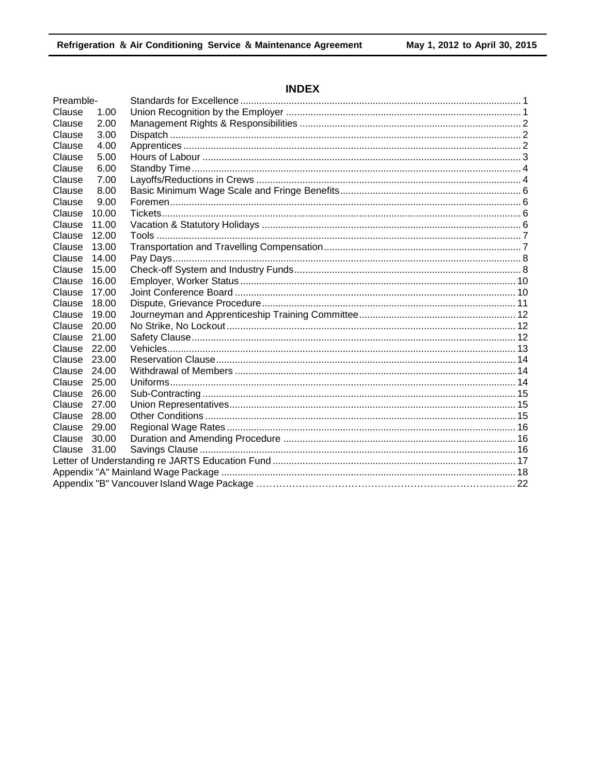### **INDEX**

| Preamble-    |       |  |
|--------------|-------|--|
| Clause       | 1.00  |  |
| Clause       | 2.00  |  |
| Clause       | 3.00  |  |
| Clause       | 4.00  |  |
| Clause       | 5.00  |  |
| Clause       | 6.00  |  |
| Clause       | 7.00  |  |
| Clause       | 8.00  |  |
| Clause       | 9.00  |  |
| Clause       | 10.00 |  |
| Clause       | 11.00 |  |
| Clause       | 12.00 |  |
| Clause       | 13.00 |  |
| Clause       | 14.00 |  |
| Clause       | 15.00 |  |
| Clause       | 16.00 |  |
| Clause       | 17.00 |  |
| Clause       | 18.00 |  |
| Clause       | 19.00 |  |
| Clause       | 20.00 |  |
| Clause 21.00 |       |  |
| Clause 22.00 |       |  |
| Clause 23.00 |       |  |
| Clause 24.00 |       |  |
| Clause 25.00 |       |  |
| Clause 26,00 |       |  |
| Clause       | 27.00 |  |
| Clause 28.00 |       |  |
| Clause 29.00 |       |  |
| Clause       | 30.00 |  |
| Clause 31.00 |       |  |
|              |       |  |
|              |       |  |
|              |       |  |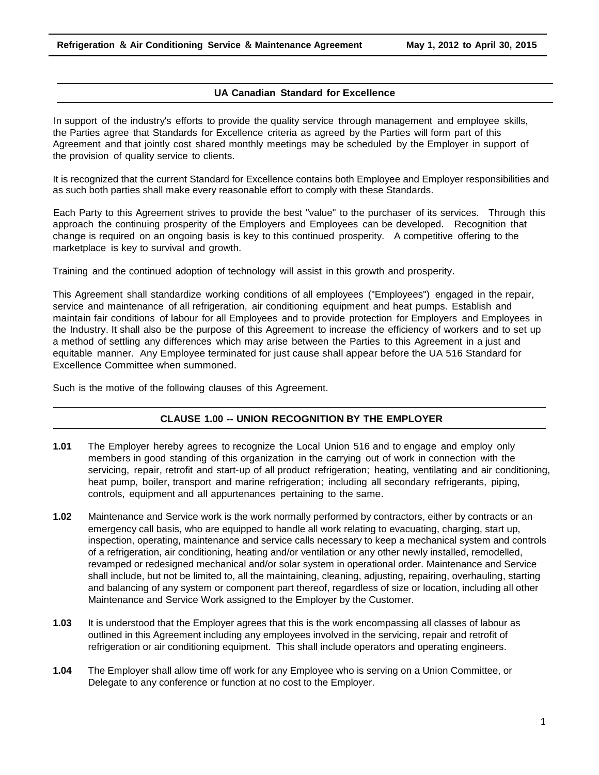#### **UA Canadian Standard for Excellence**

In support of the industry's efforts to provide the quality service through management and employee skills, the Parties agree that Standards for Excellence criteria as agreed by the Parties will form part of this Agreement and that jointly cost shared monthly meetings may be scheduled by the Employer in support of the provision of quality service to clients.

It is recognized that the current Standard for Excellence contains both Employee and Employer responsibilities and as such both parties shall make every reasonable effort to comply with these Standards.

Each Party to this Agreement strives to provide the best "value" to the purchaser of its services. Through this approach the continuing prosperity of the Employers and Employees can be developed. Recognition that change is required on an ongoing basis is key to this continued prosperity. A competitive offering to the marketplace is key to survival and growth.

Training and the continued adoption of technology will assist in this growth and prosperity.

This Agreement shall standardize working conditions of all employees ("Employees") engaged in the repair, service and maintenance of all refrigeration, air conditioning equipment and heat pumps. Establish and maintain fair conditions of labour for all Employees and to provide protection for Employers and Employees in the Industry. It shall also be the purpose of this Agreement to increase the efficiency of workers and to set up a method of settling any differences which may arise between the Parties to this Agreement in a just and equitable manner. Any Employee terminated for just cause shall appear before the UA 516 Standard for Excellence Committee when summoned.

Such is the motive of the following clauses of this Agreement.

#### **CLAUSE 1.00 -- UNION RECOGNITION BY THE EMPLOYER**

- **1.01** The Employer hereby agrees to recognize the Local Union 516 and to engage and employ only members in good standing of this organization in the carrying out of work in connection with the servicing, repair, retrofit and start-up of all product refrigeration; heating, ventilating and air conditioning, heat pump, boiler, transport and marine refrigeration; including all secondary refrigerants, piping, controls, equipment and all appurtenances pertaining to the same.
- **1.02** Maintenance and Service work is the work normally performed by contractors, either by contracts or an emergency call basis, who are equipped to handle all work relating to evacuating, charging, start up, inspection, operating, maintenance and service calls necessary to keep a mechanical system and controls of a refrigeration, air conditioning, heating and/or ventilation or any other newly installed, remodelled, revamped or redesigned mechanical and/or solar system in operational order. Maintenance and Service shall include, but not be limited to, all the maintaining, cleaning, adjusting, repairing, overhauling, starting and balancing of any system or component part thereof, regardless of size or location, including all other Maintenance and Service Work assigned to the Employer by the Customer.
- **1.03** It is understood that the Employer agrees that this is the work encompassing all classes of labour as outlined in this Agreement including any employees involved in the servicing, repair and retrofit of refrigeration or air conditioning equipment. This shall include operators and operating engineers.
- **1.04** The Employer shall allow time off work for any Employee who is serving on a Union Committee, or Delegate to any conference or function at no cost to the Employer.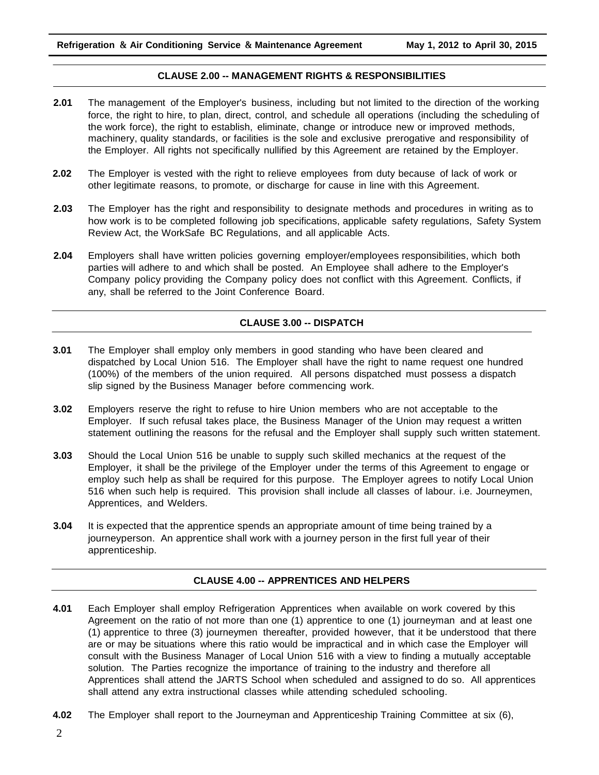#### **CLAUSE 2.00 -- MANAGEMENT RIGHTS & RESPONSIBILITIES**

- **2.01** The management of the Employer's business, including but not limited to the direction of the working force, the right to hire, to plan, direct, control, and schedule all operations (including the scheduling of the work force), the right to establish, eliminate, change or introduce new or improved methods, machinery, quality standards, or facilities is the sole and exclusive prerogative and responsibility of the Employer. All rights not specifically nullified by this Agreement are retained by the Employer.
- **2.02** The Employer is vested with the right to relieve employees from duty because of lack of work or other legitimate reasons, to promote, or discharge for cause in line with this Agreement.
- **2.03** The Employer has the right and responsibility to designate methods and procedures in writing as to how work is to be completed following job specifications, applicable safety regulations, Safety System Review Act, the WorkSafe BC Regulations, and all applicable Acts.
- **2.04** Employers shall have written policies governing employer/employees responsibilities, which both parties will adhere to and which shall be posted. An Employee shall adhere to the Employer's Company policy providing the Company policy does not conflict with this Agreement. Conflicts, if any, shall be referred to the Joint Conference Board.

#### **CLAUSE 3.00 -- DISPATCH**

- **3.01** The Employer shall employ only members in good standing who have been cleared and dispatched by Local Union 516. The Employer shall have the right to name request one hundred (100%) of the members of the union required. All persons dispatched must possess a dispatch slip signed by the Business Manager before commencing work.
- **3.02** Employers reserve the right to refuse to hire Union members who are not acceptable to the Employer. If such refusal takes place, the Business Manager of the Union may request a written statement outlining the reasons for the refusal and the Employer shall supply such written statement.
- **3.03** Should the Local Union 516 be unable to supply such skilled mechanics at the request of the Employer, it shall be the privilege of the Employer under the terms of this Agreement to engage or employ such help as shall be required for this purpose. The Employer agrees to notify Local Union 516 when such help is required. This provision shall include all classes of labour. i.e. Journeymen, Apprentices, and Welders.
- **3.04** It is expected that the apprentice spends an appropriate amount of time being trained by a journeyperson. An apprentice shall work with a journey person in the first full year of their apprenticeship.

#### **CLAUSE 4.00 -- APPRENTICES AND HELPERS**

- **4.01** Each Employer shall employ Refrigeration Apprentices when available on work covered by this Agreement on the ratio of not more than one (1) apprentice to one (1) journeyman and at least one (1) apprentice to three (3) journeymen thereafter, provided however, that it be understood that there are or may be situations where this ratio would be impractical and in which case the Employer will consult with the Business Manager of Local Union 516 with a view to finding a mutually acceptable solution. The Parties recognize the importance of training to the industry and therefore all Apprentices shall attend the JARTS School when scheduled and assigned to do so. All apprentices shall attend any extra instructional classes while attending scheduled schooling.
- **4.02** The Employer shall report to the Journeyman and Apprenticeship Training Committee at six (6),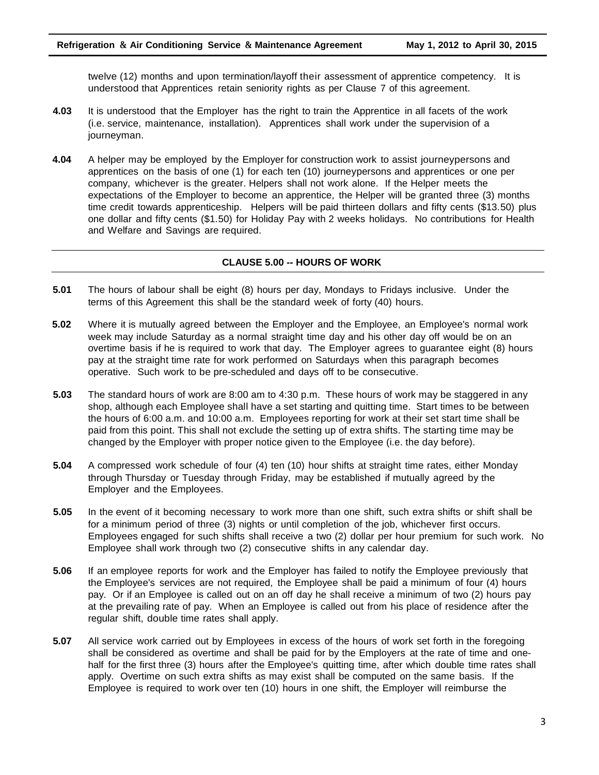twelve (12) months and upon termination/layoff their assessment of apprentice competency. It is understood that Apprentices retain seniority rights as per Clause 7 of this agreement.

- **4.03** It is understood that the Employer has the right to train the Apprentice in all facets of the work (i.e. service, maintenance, installation). Apprentices shall work under the supervision of a journeyman.
- **4.04** A helper may be employed by the Employer for construction work to assist journeypersons and apprentices on the basis of one (1) for each ten (10) journeypersons and apprentices or one per company, whichever is the greater. Helpers shall not work alone. If the Helper meets the expectations of the Employer to become an apprentice, the Helper will be granted three (3) months time credit towards apprenticeship. Helpers will be paid thirteen dollars and fifty cents (\$13.50) plus one dollar and fifty cents (\$1.50) for Holiday Pay with 2 weeks holidays. No contributions for Health and Welfare and Savings are required.

#### **CLAUSE 5.00 -- HOURS OF WORK**

- **5.01** The hours of labour shall be eight (8) hours per day, Mondays to Fridays inclusive. Under the terms of this Agreement this shall be the standard week of forty (40) hours.
- **5.02** Where it is mutually agreed between the Employer and the Employee, an Employee's normal work week may include Saturday as a normal straight time day and his other day off would be on an overtime basis if he is required to work that day. The Employer agrees to guarantee eight (8) hours pay at the straight time rate for work performed on Saturdays when this paragraph becomes operative. Such work to be pre-scheduled and days off to be consecutive.
- **5.03** The standard hours of work are 8:00 am to 4:30 p.m. These hours of work may be staggered in any shop, although each Employee shall have a set starting and quitting time. Start times to be between the hours of 6:00 a.m. and 10:00 a.m. Employees reporting for work at their set start time shall be paid from this point. This shall not exclude the setting up of extra shifts. The starting time may be changed by the Employer with proper notice given to the Employee (i.e. the day before).
- **5.04** A compressed work schedule of four (4) ten (10) hour shifts at straight time rates, either Monday through Thursday or Tuesday through Friday, may be established if mutually agreed by the Employer and the Employees.
- **5.05** In the event of it becoming necessary to work more than one shift, such extra shifts or shift shall be for a minimum period of three (3) nights or until completion of the job, whichever first occurs. Employees engaged for such shifts shall receive a two (2) dollar per hour premium for such work. No Employee shall work through two (2) consecutive shifts in any calendar day.
- **5.06** If an employee reports for work and the Employer has failed to notify the Employee previously that the Employee's services are not required, the Employee shall be paid a minimum of four (4) hours pay. Or if an Employee is called out on an off day he shall receive a minimum of two (2) hours pay at the prevailing rate of pay. When an Employee is called out from his place of residence after the regular shift, double time rates shall apply.
- **5.07** All service work carried out by Employees in excess of the hours of work set forth in the foregoing shall be considered as overtime and shall be paid for by the Employers at the rate of time and onehalf for the first three (3) hours after the Employee's quitting time, after which double time rates shall apply. Overtime on such extra shifts as may exist shall be computed on the same basis. If the Employee is required to work over ten (10) hours in one shift, the Employer will reimburse the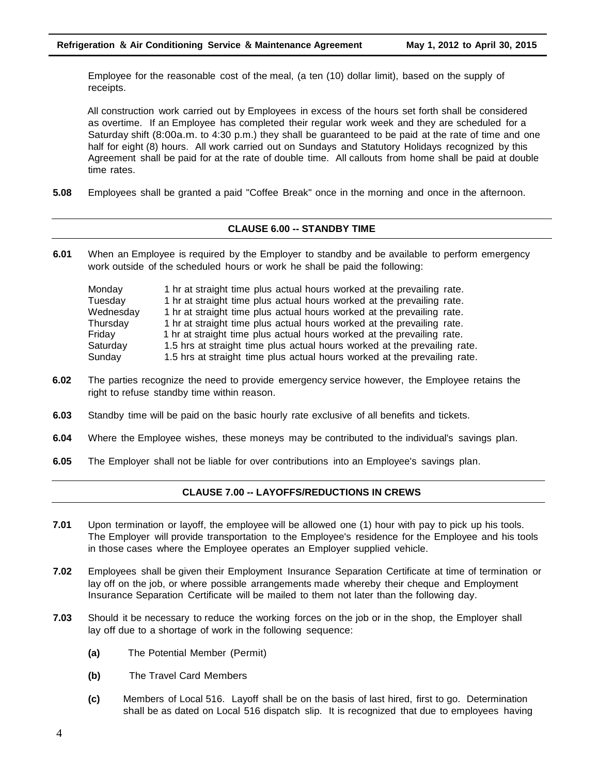Employee for the reasonable cost of the meal, (a ten (10) dollar limit), based on the supply of receipts.

All construction work carried out by Employees in excess of the hours set forth shall be considered as overtime. If an Employee has completed their regular work week and they are scheduled for a Saturday shift (8:00a.m. to 4:30 p.m.) they shall be guaranteed to be paid at the rate of time and one half for eight (8) hours. All work carried out on Sundays and Statutory Holidays recognized by this Agreement shall be paid for at the rate of double time. All callouts from home shall be paid at double time rates.

**5.08** Employees shall be granted a paid "Coffee Break" once in the morning and once in the afternoon.

#### **CLAUSE 6.00 -- STANDBY TIME**

**6.01** When an Employee is required by the Employer to standby and be available to perform emergency work outside of the scheduled hours or work he shall be paid the following:

| Monday    | 1 hr at straight time plus actual hours worked at the prevailing rate.    |
|-----------|---------------------------------------------------------------------------|
| Tuesday   | 1 hr at straight time plus actual hours worked at the prevailing rate.    |
| Wednesday | 1 hr at straight time plus actual hours worked at the prevailing rate.    |
| Thursday  | 1 hr at straight time plus actual hours worked at the prevailing rate.    |
| Friday    | 1 hr at straight time plus actual hours worked at the prevailing rate.    |
| Saturday  | 1.5 hrs at straight time plus actual hours worked at the prevailing rate. |
| Sunday    | 1.5 hrs at straight time plus actual hours worked at the prevailing rate. |

- **6.02** The parties recognize the need to provide emergency service however, the Employee retains the right to refuse standby time within reason.
- **6.03** Standby time will be paid on the basic hourly rate exclusive of all benefits and tickets.
- **6.04** Where the Employee wishes, these moneys may be contributed to the individual's savings plan.
- **6.05** The Employer shall not be liable for over contributions into an Employee's savings plan.

#### **CLAUSE 7.00 -- LAYOFFS/REDUCTIONS IN CREWS**

- **7.01** Upon termination or layoff, the employee will be allowed one (1) hour with pay to pick up his tools. The Employer will provide transportation to the Employee's residence for the Employee and his tools in those cases where the Employee operates an Employer supplied vehicle.
- **7.02** Employees shall be given their Employment Insurance Separation Certificate at time of termination or lay off on the job, or where possible arrangements made whereby their cheque and Employment Insurance Separation Certificate will be mailed to them not later than the following day.
- **7.03** Should it be necessary to reduce the working forces on the job or in the shop, the Employer shall lay off due to a shortage of work in the following sequence:
	- **(a)** The Potential Member (Permit)
	- **(b)** The Travel Card Members
	- **(c)** Members of Local 516. Layoff shall be on the basis of last hired, first to go. Determination shall be as dated on Local 516 dispatch slip. It is recognized that due to employees having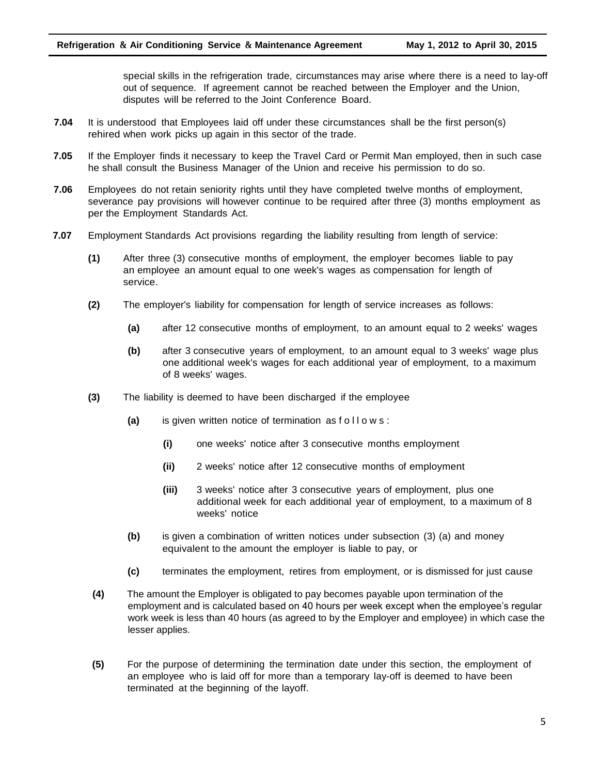special skills in the refrigeration trade, circumstances may arise where there is a need to lay-off out of sequence. If agreement cannot be reached between the Employer and the Union, disputes will be referred to the Joint Conference Board.

- **7.04** It is understood that Employees laid off under these circumstances shall be the first person(s) rehired when work picks up again in this sector of the trade.
- **7.05** If the Employer finds it necessary to keep the Travel Card or Permit Man employed, then in such case he shall consult the Business Manager of the Union and receive his permission to do so.
- **7.06** Employees do not retain seniority rights until they have completed twelve months of employment, severance pay provisions will however continue to be required after three (3) months employment as per the Employment Standards Act.
- **7.07** Employment Standards Act provisions regarding the liability resulting from length of service:
	- **(1)** After three (3) consecutive months of employment, the employer becomes liable to pay an employee an amount equal to one week's wages as compensation for length of service.
	- **(2)** The employer's liability for compensation for length of service increases as follows:
		- **(a)** after 12 consecutive months of employment, to an amount equal to 2 weeks' wages
		- **(b)** after 3 consecutive years of employment, to an amount equal to 3 weeks' wage plus one additional week's wages for each additional year of employment, to a maximum of 8 weeks' wages.
	- **(3)** The liability is deemed to have been discharged if the employee
		- **(a)** is given written notice of termination as f o l l o w s :
			- **(i)** one weeks' notice after 3 consecutive months employment
			- **(ii)** 2 weeks' notice after 12 consecutive months of employment
			- **(iii)** 3 weeks' notice after 3 consecutive years of employment, plus one additional week for each additional year of employment, to a maximum of 8 weeks' notice
		- **(b)** is given a combination of written notices under subsection (3) (a) and money equivalent to the amount the employer is liable to pay, or
		- **(c)** terminates the employment, retires from employment, or is dismissed for just cause
	- **(4)** The amount the Employer is obligated to pay becomes payable upon termination of the employment and is calculated based on 40 hours per week except when the employee's regular work week is less than 40 hours (as agreed to by the Employer and employee) in which case the lesser applies.
	- **(5)** For the purpose of determining the termination date under this section, the employment of an employee who is laid off for more than a temporary lay-off is deemed to have been terminated at the beginning of the layoff.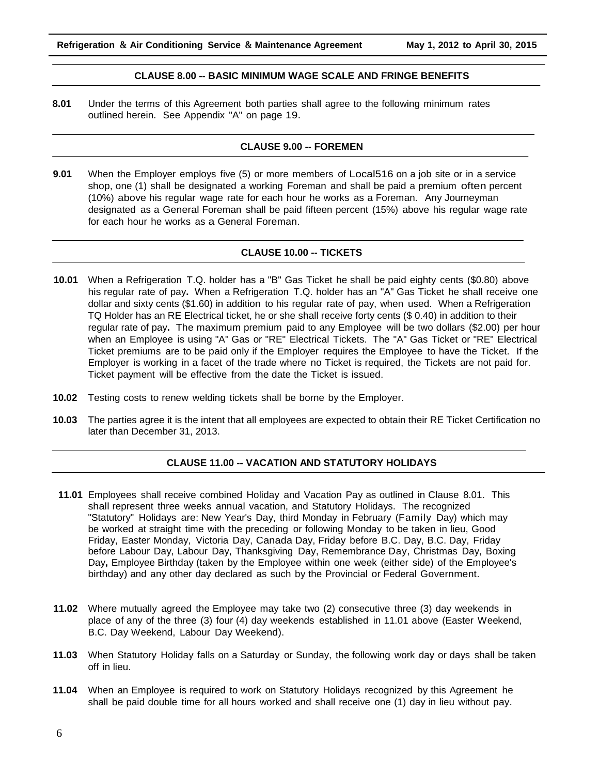#### **CLAUSE 8.00 -- BASIC MINIMUM WAGE SCALE AND FRINGE BENEFITS**

**8.01** Under the terms of this Agreement both parties shall agree to the following minimum rates outlined herein. See Appendix "A" on page 19.

#### **CLAUSE 9.00 -- FOREMEN**

**9.01** When the Employer employs five (5) or more members of Local516 on a job site or in a service shop, one (1) shall be designated a working Foreman and shall be paid a premium often percent (10%) above his regular wage rate for each hour he works as a Foreman. Any Journeyman designated as a General Foreman shall be paid fifteen percent (15%) above his regular wage rate for each hour he works as a General Foreman.

#### **CLAUSE 10.00 -- TICKETS**

- **10.01** When a Refrigeration T.Q. holder has a "B" Gas Ticket he shall be paid eighty cents (\$0.80) above his regular rate of pay**.** When a Refrigeration T.Q. holder has an "A" Gas Ticket he shall receive one dollar and sixty cents (\$1.60) in addition to his regular rate of pay, when used. When a Refrigeration TQ Holder has an RE Electrical ticket, he or she shall receive forty cents (\$ 0.40) in addition to their regular rate of pay**.** The maximum premium paid to any Employee will be two dollars (\$2.00) per hour when an Employee is using "A" Gas or "RE" Electrical Tickets. The "A" Gas Ticket or "RE" Electrical Ticket premiums are to be paid only if the Employer requires the Employee to have the Ticket. If the Employer is working in a facet of the trade where no Ticket is required, the Tickets are not paid for. Ticket payment will be effective from the date the Ticket is issued.
- **10.02** Testing costs to renew welding tickets shall be borne by the Employer.
- **10.03** The parties agree it is the intent that all employees are expected to obtain their RE Ticket Certification no later than December 31, 2013.

#### **CLAUSE 11.00 -- VACATION AND STATUTORY HOLIDAYS**

- **11.01** Employees shall receive combined Holiday and Vacation Pay as outlined in Clause 8.01. This shall represent three weeks annual vacation, and Statutory Holidays. The recognized "Statutory" Holidays are: New Year's Day, third Monday in February (Family Day) which may be worked at straight time with the preceding or following Monday to be taken in lieu, Good Friday, Easter Monday, Victoria Day, Canada Day, Friday before B.C. Day, B.C. Day, Friday before Labour Day, Labour Day, Thanksgiving Day, Remembrance Day, Christmas Day, Boxing Day**,** Employee Birthday (taken by the Employee within one week (either side) of the Employee's birthday) and any other day declared as such by the Provincial or Federal Government.
- **11.02** Where mutually agreed the Employee may take two (2) consecutive three (3) day weekends in place of any of the three (3) four (4) day weekends established in 11.01 above (Easter Weekend, B.C. Day Weekend, Labour Day Weekend).
- **11.03** When Statutory Holiday falls on a Saturday or Sunday, the following work day or days shall be taken off in lieu.
- **11.04** When an Employee is required to work on Statutory Holidays recognized by this Agreement he shall be paid double time for all hours worked and shall receive one (1) day in lieu without pay.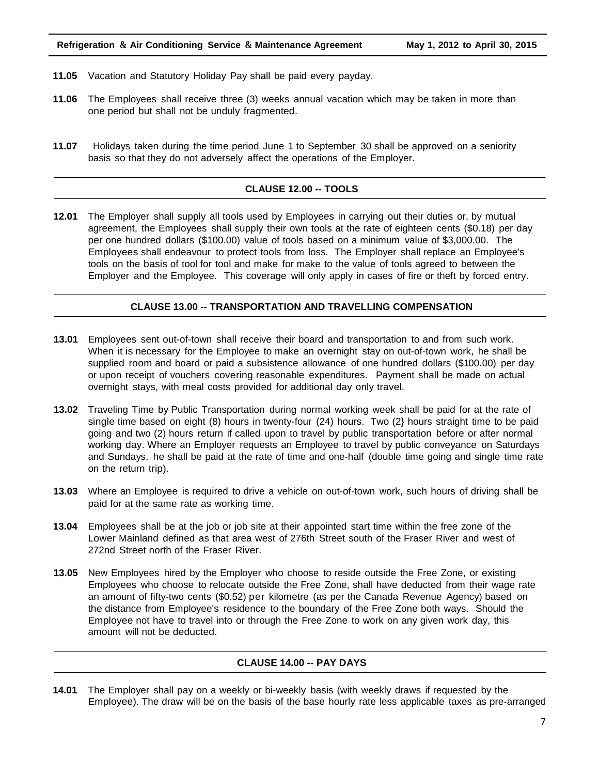#### **Refrigeration & Air Conditioning Service & Maintenance Agreement May 1, 2012 to April 30, 2015**

- **11.05** Vacation and Statutory Holiday Pay shall be paid every payday.
- **11.06** The Employees shall receive three (3) weeks annual vacation which may be taken in more than one period but shall not be unduly fragmented.
- **11.07** Holidays taken during the time period June 1 to September 30 shall be approved on a seniority basis so that they do not adversely affect the operations of the Employer.

#### **CLAUSE 12.00 -- TOOLS**

**12.01** The Employer shall supply all tools used by Employees in carrying out their duties or, by mutual agreement, the Employees shall supply their own tools at the rate of eighteen cents (\$0.18) per day per one hundred dollars (\$100.00) value of tools based on a minimum value of \$3,000.00. The Employees shall endeavour to protect tools from loss. The Employer shall replace an Employee's tools on the basis of tool for tool and make for make to the value of tools agreed to between the Employer and the Employee. This coverage will only apply in cases of fire or theft by forced entry.

#### **CLAUSE 13.00 -- TRANSPORTATION AND TRAVELLING COMPENSATION**

- **13.01** Employees sent out-of-town shall receive their board and transportation to and from such work. When it is necessary for the Employee to make an overnight stay on out-of-town work, he shall be supplied room and board or paid a subsistence allowance of one hundred dollars (\$100.00) per day or upon receipt of vouchers covering reasonable expenditures. Payment shall be made on actual overnight stays, with meal costs provided for additional day only travel.
- **13.02** Traveling Time by Public Transportation during normal working week shall be paid for at the rate of single time based on eight (8) hours in twenty-four (24) hours. Two (2} hours straight time to be paid going and two (2) hours return if called upon to travel by public transportation before or after normal working day. Where an Employer requests an Employee to travel by public conveyance on Saturdays and Sundays, he shall be paid at the rate of time and one-half (double time going and single time rate on the return trip).
- **13.03** Where an Employee is required to drive a vehicle on out-of-town work, such hours of driving shall be paid for at the same rate as working time.
- **13.04** Employees shall be at the job or job site at their appointed start time within the free zone of the Lower Mainland defined as that area west of 276th Street south of the Fraser River and west of 272nd Street north of the Fraser River.
- **13.05** New Employees hired by the Employer who choose to reside outside the Free Zone, or existing Employees who choose to relocate outside the Free Zone, shall have deducted from their wage rate an amount of fifty-two cents (\$0.52) per kilometre (as per the Canada Revenue Agency) based on the distance from Employee's residence to the boundary of the Free Zone both ways. Should the Employee not have to travel into or through the Free Zone to work on any given work day, this amount will not be deducted.

#### **CLAUSE 14.00 -- PAY DAYS**

**14.01** The Employer shall pay on a weekly or bi-weekly basis (with weekly draws if requested by the Employee). The draw will be on the basis of the base hourly rate less applicable taxes as pre-arranged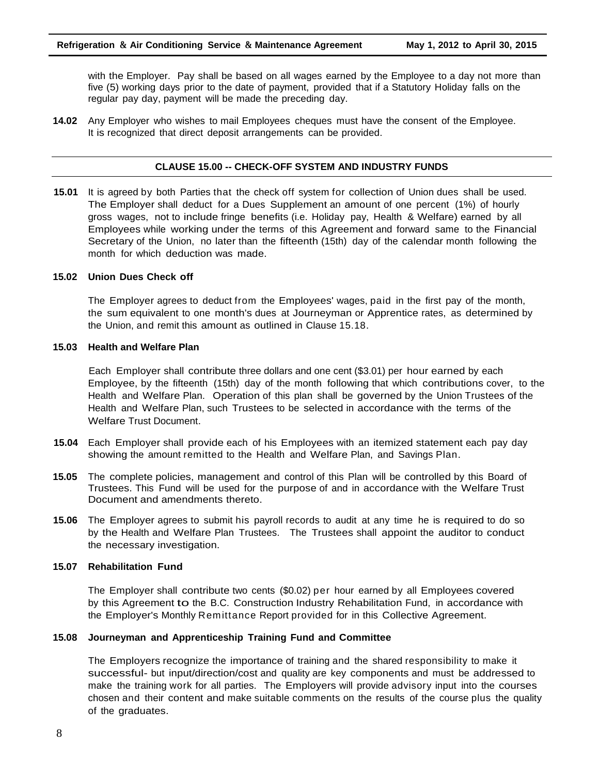with the Employer. Pay shall be based on all wages earned by the Employee to a day not more than five (5) working days prior to the date of payment, provided that if a Statutory Holiday falls on the regular pay day, payment will be made the preceding day.

**14.02** Any Employer who wishes to mail Employees cheques must have the consent of the Employee. It is recognized that direct deposit arrangements can be provided.

#### **CLAUSE 15.00 -- CHECK-OFF SYSTEM AND INDUSTRY FUNDS**

**15.01** It is agreed by both Parties that the check off system for collection of Union dues shall be used. The Employer shall deduct for a Dues Supplement an amount of one percent (1%) of hourly gross wages, not to include fringe benefits (i.e. Holiday pay, Health & Welfare) earned by all Employees while working under the terms of this Agreement and forward same to the Financial Secretary of the Union, no later than the fifteenth (15th) day of the calendar month following the month for which deduction was made.

#### **15.02 Union Dues Check off**

The Employer agrees to deduct from the Employees' wages, paid in the first pay of the month, the sum equivalent to one month's dues at Journeyman or Apprentice rates, as determined by the Union, and remit this amount as outlined in Clause 15.18.

#### **15.03 Health and Welfare Plan**

Each Employer shall contribute three dollars and one cent (\$3.01) per hour earned by each Employee, by the fifteenth (15th) day of the month following that which contributions cover, to the Health and Welfare Plan. Operation of this plan shall be governed by the Union Trustees of the Health and Welfare Plan, such Trustees to be selected in accordance with the terms of the Welfare Trust Document.

- **15.04** Each Employer shall provide each of his Employees with an itemized statement each pay day showing the amount remitted to the Health and Welfare Plan, and Savings Plan.
- **15.05** The complete policies, management and control of this Plan will be controlled by this Board of Trustees. This Fund will be used for the purpose of and in accordance with the Welfare Trust Document and amendments thereto.
- **15.06** The Employer agrees to submit his payroll records to audit at any time he is required to do so by the Health and Welfare Plan Trustees. The Trustees shall appoint the auditor to conduct the necessary investigation.

#### **15.07 Rehabilitation Fund**

The Employer shall contribute two cents (\$0.02) per hour earned by all Employees covered by this Agreement to the B.C. Construction Industry Rehabilitation Fund, in accordance with the Employer's Monthly Remittance Report provided for in this Collective Agreement.

#### **15.08 Journeyman and Apprenticeship Training Fund and Committee**

The Employers recognize the importance of training and the shared responsibility to make it successful- but input/direction/cost and quality are key components and must be addressed to make the training work for all parties. The Employers will provide advisory input into the courses chosen and their content and make suitable comments on the results of the course plus the quality of the graduates.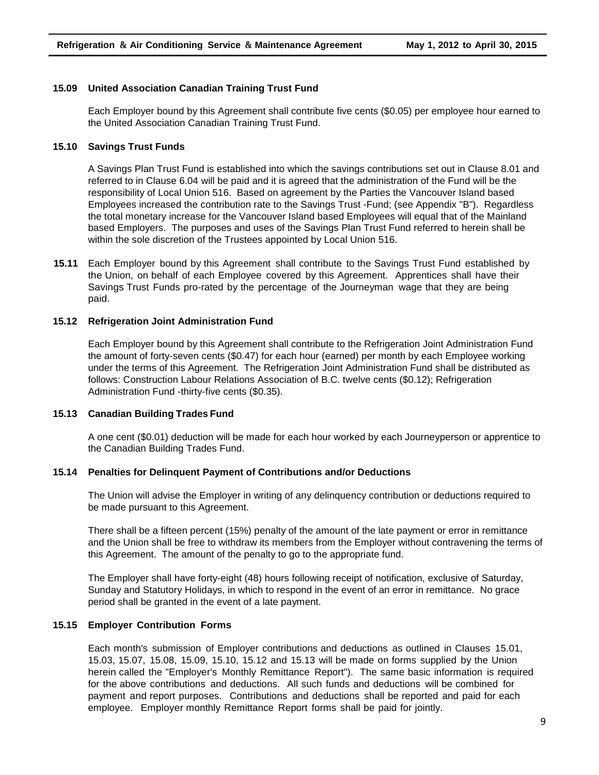#### **15.09 United Association Canadian Training Trust Fund**

Each Employer bound by this Agreement shall contribute five cents (\$0.05) per employee hour earned to the United Association Canadian Training Trust Fund.

#### **15.10 Savings Trust Funds**

A Savings Plan Trust Fund is established into which the savings contributions set out in Clause 8.01 and referred to in Clause 6.04 will be paid and it is agreed that the administration of the Fund will be the responsibility of Local Union 516. Based on agreement by the Parties the Vancouver Island based Employees increased the contribution rate to the Savings Trust -Fund; (see Appendix "B"). Regardless the total monetary increase for the Vancouver Island based Employees will equal that of the Mainland based Employers. The purposes and uses of the Savings Plan Trust Fund referred to herein shall be within the sole discretion of the Trustees appointed by Local Union 516.

**15.11** Each Employer bound by this Agreement shall contribute to the Savings Trust Fund established by the Union, on behalf of each Employee covered by this Agreement. Apprentices shall have their Savings Trust Funds pro-rated by the percentage of the Journeyman wage that they are being paid.

#### **15.12 Refrigeration Joint Administration Fund**

Each Employer bound by this Agreement shall contribute to the Refrigeration Joint Administration Fund the amount of forty-seven cents (\$0.47) for each hour (earned) per month by each Employee working under the terms of this Agreement. The Refrigeration Joint Administration Fund shall be distributed as follows: Construction Labour Relations Association of B.C. twelve cents (\$0.12); Refrigeration Administration Fund -thirty-five cents (\$0.35).

#### **15.13 Canadian Building Trades Fund**

A one cent (\$0.01) deduction will be made for each hour worked by each Journeyperson or apprentice to the Canadian Building Trades Fund.

#### **15.14 Penalties for Delinquent Payment of Contributions and/or Deductions**

The Union will advise the Employer in writing of any delinquency contribution or deductions required to be made pursuant to this Agreement.

There shall be a fifteen percent (15%) penalty of the amount of the late payment or error in remittance and the Union shall be free to withdraw its members from the Employer without contravening the terms of this Agreement. The amount of the penalty to go to the appropriate fund.

The Employer shall have forty-eight (48) hours following receipt of notification, exclusive of Saturday, Sunday and Statutory Holidays, in which to respond in the event of an error in remittance. No grace period shall be granted in the event of a late payment.

#### **15.15 Employer Contribution Forms**

Each month's submission of Employer contributions and deductions as outlined in Clauses 15.01, 15.03, 15.07, 15.08, 15.09, 15.10, 15.12 and 15.13 will be made on forms supplied by the Union herein called the "Employer's Monthly Remittance Report"). The same basic information is required for the above contributions and deductions. All such funds and deductions will be combined for payment and report purposes. Contributions and deductions shall be reported and paid for each employee. Employer monthly Remittance Report forms shall be paid for jointly.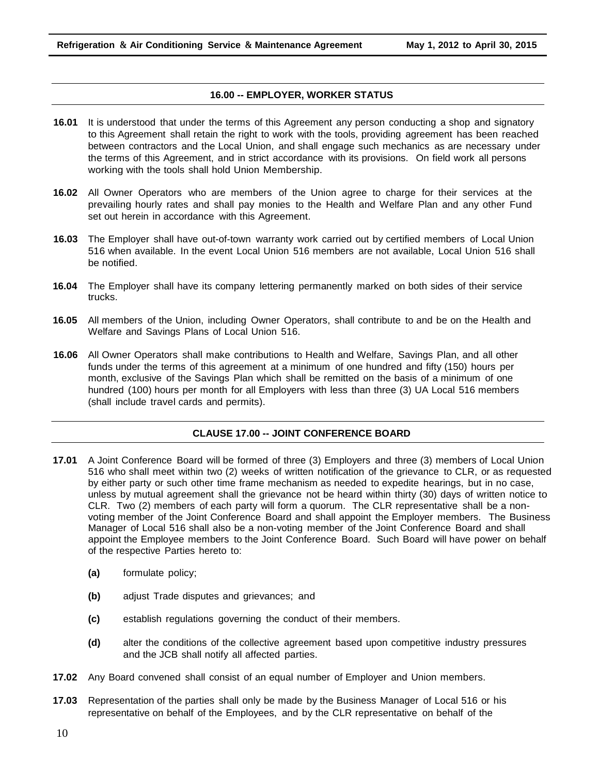#### **16.00 -- EMPLOYER, WORKER STATUS**

- **16.01** It is understood that under the terms of this Agreement any person conducting a shop and signatory to this Agreement shall retain the right to work with the tools, providing agreement has been reached between contractors and the Local Union, and shall engage such mechanics as are necessary under the terms of this Agreement, and in strict accordance with its provisions. On field work all persons working with the tools shall hold Union Membership.
- **16.02** All Owner Operators who are members of the Union agree to charge for their services at the prevailing hourly rates and shall pay monies to the Health and Welfare Plan and any other Fund set out herein in accordance with this Agreement.
- **16.03** The Employer shall have out-of-town warranty work carried out by certified members of Local Union 516 when available. In the event Local Union 516 members are not available, Local Union 516 shall be notified.
- **16.04** The Employer shall have its company lettering permanently marked on both sides of their service trucks.
- **16.05** All members of the Union, including Owner Operators, shall contribute to and be on the Health and Welfare and Savings Plans of Local Union 516.
- **16.06** All Owner Operators shall make contributions to Health and Welfare, Savings Plan, and all other funds under the terms of this agreement at a minimum of one hundred and fifty (150) hours per month, exclusive of the Savings Plan which shall be remitted on the basis of a minimum of one hundred (100) hours per month for all Employers with less than three (3) UA Local 516 members (shall include travel cards and permits).

#### **CLAUSE 17.00 -- JOINT CONFERENCE BOARD**

- **17.01** A Joint Conference Board will be formed of three (3) Employers and three (3) members of Local Union 516 who shall meet within two (2) weeks of written notification of the grievance to CLR, or as requested by either party or such other time frame mechanism as needed to expedite hearings, but in no case, unless by mutual agreement shall the grievance not be heard within thirty (30) days of written notice to CLR. Two (2) members of each party will form a quorum. The CLR representative shall be a nonvoting member of the Joint Conference Board and shall appoint the Employer members. The Business Manager of Local 516 shall also be a non-voting member of the Joint Conference Board and shall appoint the Employee members to the Joint Conference Board. Such Board will have power on behalf of the respective Parties hereto to:
	- **(a)** formulate policy;
	- **(b)** adjust Trade disputes and grievances; and
	- **(c)** establish regulations governing the conduct of their members.
	- **(d)** alter the conditions of the collective agreement based upon competitive industry pressures and the JCB shall notify all affected parties.
- **17.02** Any Board convened shall consist of an equal number of Employer and Union members.
- **17.03** Representation of the parties shall only be made by the Business Manager of Local 516 or his representative on behalf of the Employees, and by the CLR representative on behalf of the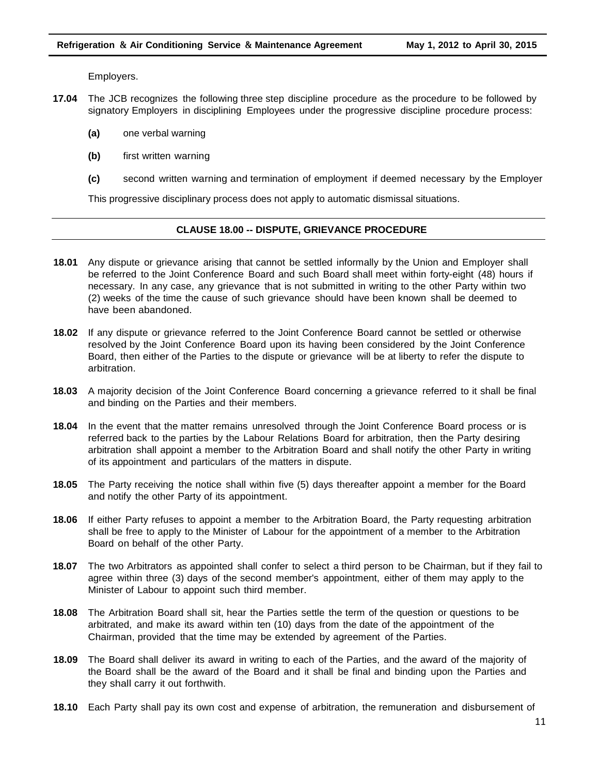Employers.

- **17.04** The JCB recognizes the following three step discipline procedure as the procedure to be followed by signatory Employers in disciplining Employees under the progressive discipline procedure process:
	- **(a)** one verbal warning
	- **(b)** first written warning
	- **(c)** second written warning and termination of employment if deemed necessary by the Employer

This progressive disciplinary process does not apply to automatic dismissal situations.

#### **CLAUSE 18.00 -- DISPUTE, GRIEVANCE PROCEDURE**

- **18.01** Any dispute or grievance arising that cannot be settled informally by the Union and Employer shall be referred to the Joint Conference Board and such Board shall meet within forty-eight (48) hours if necessary. In any case, any grievance that is not submitted in writing to the other Party within two (2) weeks of the time the cause of such grievance should have been known shall be deemed to have been abandoned.
- **18.02** If any dispute or grievance referred to the Joint Conference Board cannot be settled or otherwise resolved by the Joint Conference Board upon its having been considered by the Joint Conference Board, then either of the Parties to the dispute or grievance will be at liberty to refer the dispute to arbitration.
- **18.03** A majority decision of the Joint Conference Board concerning a grievance referred to it shall be final and binding on the Parties and their members.
- **18.04** In the event that the matter remains unresolved through the Joint Conference Board process or is referred back to the parties by the Labour Relations Board for arbitration, then the Party desiring arbitration shall appoint a member to the Arbitration Board and shall notify the other Party in writing of its appointment and particulars of the matters in dispute.
- **18.05** The Party receiving the notice shall within five (5) days thereafter appoint a member for the Board and notify the other Party of its appointment.
- **18.06** If either Party refuses to appoint a member to the Arbitration Board, the Party requesting arbitration shall be free to apply to the Minister of Labour for the appointment of a member to the Arbitration Board on behalf of the other Party.
- **18.07** The two Arbitrators as appointed shall confer to select a third person to be Chairman, but if they fail to agree within three (3) days of the second member's appointment, either of them may apply to the Minister of Labour to appoint such third member.
- **18.08** The Arbitration Board shall sit, hear the Parties settle the term of the question or questions to be arbitrated, and make its award within ten (10) days from the date of the appointment of the Chairman, provided that the time may be extended by agreement of the Parties.
- **18.09** The Board shall deliver its award in writing to each of the Parties, and the award of the majority of the Board shall be the award of the Board and it shall be final and binding upon the Parties and they shall carry it out forthwith.
- **18.10** Each Party shall pay its own cost and expense of arbitration, the remuneration and disbursement of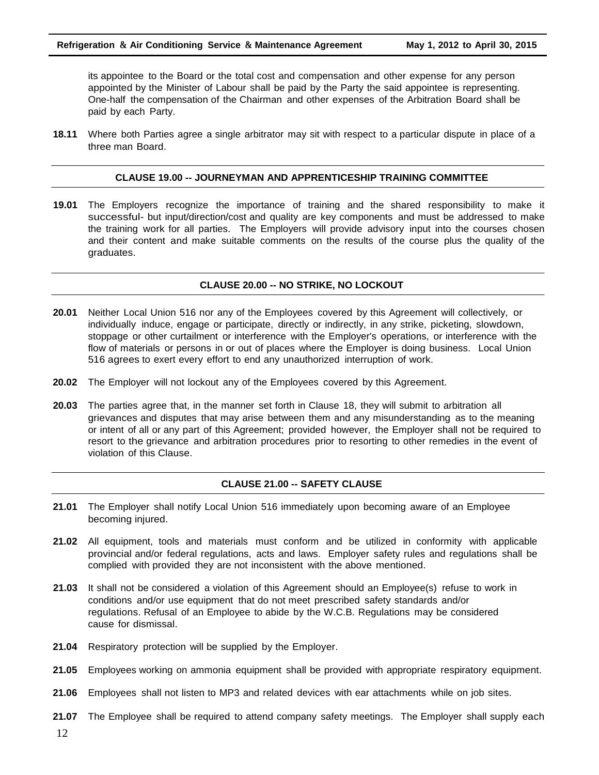its appointee to the Board or the total cost and compensation and other expense for any person appointed by the Minister of Labour shall be paid by the Party the said appointee is representing. One-half the compensation of the Chairman and other expenses of the Arbitration Board shall be paid by each Party.

**18.11** Where both Parties agree a single arbitrator may sit with respect to a particular dispute in place of a three man Board.

#### **CLAUSE 19.00 -- JOURNEYMAN AND APPRENTICESHIP TRAINING COMMITTEE**

**19.01** The Employers recognize the importance of training and the shared responsibility to make it successful- but input/direction/cost and quality are key components and must be addressed to make the training work for all parties. The Employers will provide advisory input into the courses chosen and their content and make suitable comments on the results of the course plus the quality of the graduates.

#### **CLAUSE 20.00 -- NO STRIKE, NO LOCKOUT**

- **20.01** Neither Local Union 516 nor any of the Employees covered by this Agreement will collectively, or individually induce, engage or participate, directly or indirectly, in any strike, picketing, slowdown, stoppage or other curtailment or interference with the Employer's operations, or interference with the flow of materials or persons in or out of places where the Employer is doing business. Local Union 516 agrees to exert every effort to end any unauthorized interruption of work.
- **20.02** The Employer will not lockout any of the Employees covered by this Agreement.
- **20.03** The parties agree that, in the manner set forth in Clause 18, they will submit to arbitration all grievances and disputes that may arise between them and any misunderstanding as to the meaning or intent of all or any part of this Agreement; provided however, the Employer shall not be required to resort to the grievance and arbitration procedures prior to resorting to other remedies in the event of violation of this Clause.

#### **CLAUSE 21.00 -- SAFETY CLAUSE**

- **21.01** The Employer shall notify Local Union 516 immediately upon becoming aware of an Employee becoming injured.
- **21.02** All equipment, tools and materials must conform and be utilized in conformity with applicable provincial and/or federal regulations, acts and laws. Employer safety rules and regulations shall be complied with provided they are not inconsistent with the above mentioned.
- **21.03** It shall not be considered a violation of this Agreement should an Employee(s) refuse to work in conditions and/or use equipment that do not meet prescribed safety standards and/or regulations. Refusal of an Employee to abide by the W.C.B. Regulations may be considered cause for dismissal.
- **21.04** Respiratory protection will be supplied by the Employer.
- **21.05** Employees working on ammonia equipment shall be provided with appropriate respiratory equipment.
- **21.06** Employees shall not listen to MP3 and related devices with ear attachments while on job sites.
- **21.07** The Employee shall be required to attend company safety meetings. The Employer shall supply each
- 12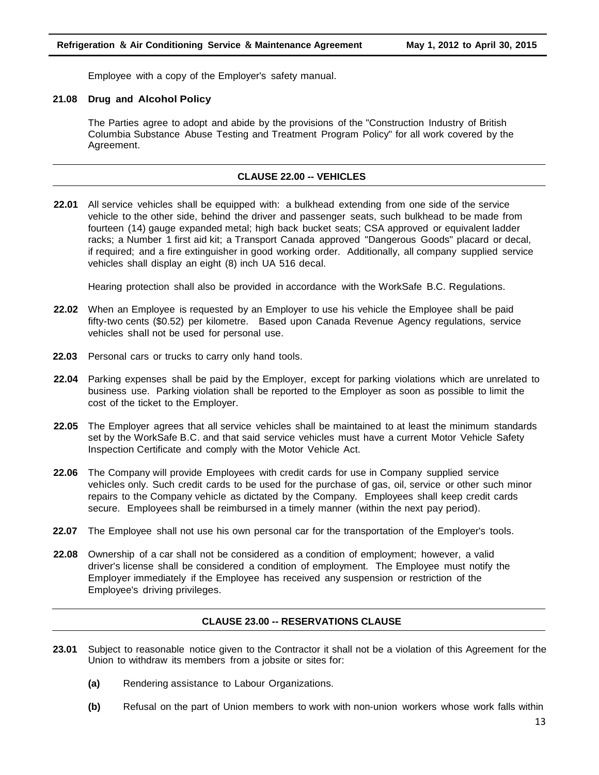Employee with a copy of the Employer's safety manual.

#### **21.08 Drug and Alcohol Policy**

The Parties agree to adopt and abide by the provisions of the "Construction Industry of British Columbia Substance Abuse Testing and Treatment Program Policy" for all work covered by the Agreement.

#### **CLAUSE 22.00 -- VEHICLES**

**22.01** All service vehicles shall be equipped with: a bulkhead extending from one side of the service vehicle to the other side, behind the driver and passenger seats, such bulkhead to be made from fourteen (14) gauge expanded metal; high back bucket seats; CSA approved or equivalent ladder racks; a Number 1 first aid kit; a Transport Canada approved "Dangerous Goods" placard or decal, if required; and a fire extinguisher in good working order. Additionally, all company supplied service vehicles shall display an eight (8) inch UA 516 decal.

Hearing protection shall also be provided in accordance with the WorkSafe B.C. Regulations.

- **22.02** When an Employee is requested by an Employer to use his vehicle the Employee shall be paid fifty-two cents (\$0.52) per kilometre. Based upon Canada Revenue Agency regulations, service vehicles shall not be used for personal use.
- **22.03** Personal cars or trucks to carry only hand tools.
- **22.04** Parking expenses shall be paid by the Employer, except for parking violations which are unrelated to business use. Parking violation shall be reported to the Employer as soon as possible to limit the cost of the ticket to the Employer.
- **22.05** The Employer agrees that all service vehicles shall be maintained to at least the minimum standards set by the WorkSafe B.C. and that said service vehicles must have a current Motor Vehicle Safety Inspection Certificate and comply with the Motor Vehicle Act.
- **22.06** The Company will provide Employees with credit cards for use in Company supplied service vehicles only. Such credit cards to be used for the purchase of gas, oil, service or other such minor repairs to the Company vehicle as dictated by the Company. Employees shall keep credit cards secure. Employees shall be reimbursed in a timely manner (within the next pay period).
- **22.07** The Employee shall not use his own personal car for the transportation of the Employer's tools.
- **22.08** Ownership of a car shall not be considered as a condition of employment; however, a valid driver's license shall be considered a condition of employment. The Employee must notify the Employer immediately if the Employee has received any suspension or restriction of the Employee's driving privileges.

#### **CLAUSE 23.00 -- RESERVATIONS CLAUSE**

- **23.01** Subject to reasonable notice given to the Contractor it shall not be a violation of this Agreement for the Union to withdraw its members from a jobsite or sites for:
	- **(a)** Rendering assistance to Labour Organizations.
	- **(b)** Refusal on the part of Union members to work with non-union workers whose work falls within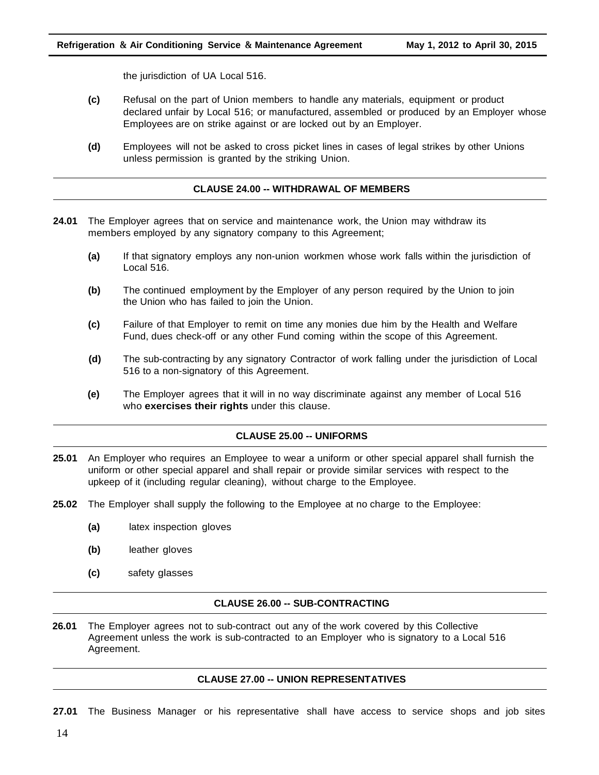the jurisdiction of UA Local 516.

- **(c)** Refusal on the part of Union members to handle any materials, equipment or product declared unfair by Local 516; or manufactured, assembled or produced by an Employer whose Employees are on strike against or are locked out by an Employer.
- **(d)** Employees will not be asked to cross picket lines in cases of legal strikes by other Unions unless permission is granted by the striking Union.

#### **CLAUSE 24.00 -- WITHDRAWAL OF MEMBERS**

- **24.01** The Employer agrees that on service and maintenance work, the Union may withdraw its members employed by any signatory company to this Agreement;
	- **(a)** If that signatory employs any non-union workmen whose work falls within the jurisdiction of Local 516.
	- **(b)** The continued employment by the Employer of any person required by the Union to join the Union who has failed to join the Union.
	- **(c)** Failure of that Employer to remit on time any monies due him by the Health and Welfare Fund, dues check-off or any other Fund coming within the scope of this Agreement.
	- **(d)** The sub-contracting by any signatory Contractor of work falling under the jurisdiction of Local 516 to a non-signatory of this Agreement.
	- **(e)** The Employer agrees that it will in no way discriminate against any member of Local 516 who **exercises their rights** under this clause.

#### **CLAUSE 25.00 -- UNIFORMS**

- **25.01** An Employer who requires an Employee to wear a uniform or other special apparel shall furnish the uniform or other special apparel and shall repair or provide similar services with respect to the upkeep of it (including regular cleaning), without charge to the Employee.
- **25.02** The Employer shall supply the following to the Employee at no charge to the Employee:
	- **(a)** latex inspection gloves
	- **(b)** leather gloves
	- **(c)** safety glasses

#### **CLAUSE 26.00 -- SUB-CONTRACTING**

**26.01** The Employer agrees not to sub-contract out any of the work covered by this Collective Agreement unless the work is sub-contracted to an Employer who is signatory to a Local 516 Agreement.

#### **CLAUSE 27.00 -- UNION REPRESENTATIVES**

**27.01** The Business Manager or his representative shall have access to service shops and job sites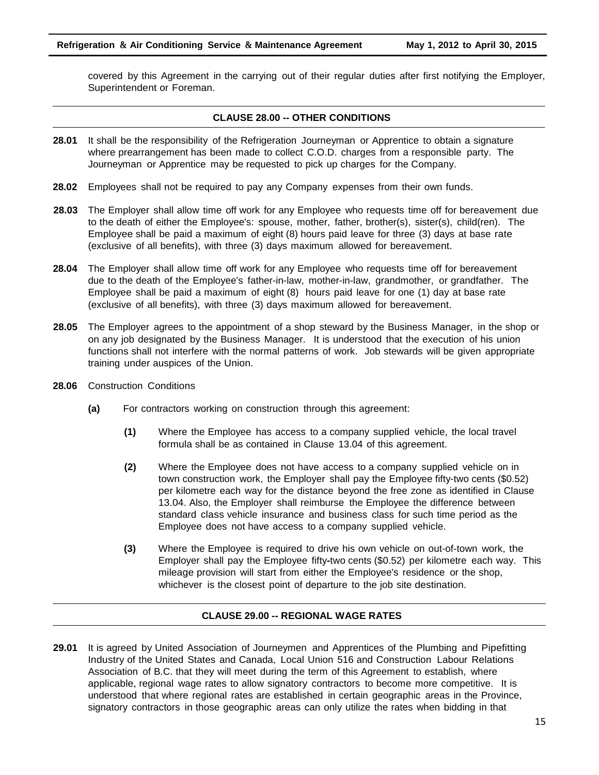covered by this Agreement in the carrying out of their regular duties after first notifying the Employer, Superintendent or Foreman.

#### **CLAUSE 28.00 -- OTHER CONDITIONS**

- **28.01** It shall be the responsibility of the Refrigeration Journeyman or Apprentice to obtain a signature where prearrangement has been made to collect C.O.D. charges from a responsible party. The Journeyman or Apprentice may be requested to pick up charges for the Company.
- **28.02** Employees shall not be required to pay any Company expenses from their own funds.
- **28.03** The Employer shall allow time off work for any Employee who requests time off for bereavement due to the death of either the Employee's: spouse, mother, father, brother(s), sister(s), child(ren). The Employee shall be paid a maximum of eight (8) hours paid leave for three (3) days at base rate (exclusive of all benefits), with three (3) days maximum allowed for bereavement.
- **28.04** The Employer shall allow time off work for any Employee who requests time off for bereavement due to the death of the Employee's father-in-law, mother-in-law, grandmother, or grandfather. The Employee shall be paid a maximum of eight (8) hours paid leave for one (1) day at base rate (exclusive of all benefits), with three (3) days maximum allowed for bereavement.
- **28.05** The Employer agrees to the appointment of a shop steward by the Business Manager, in the shop or on any job designated by the Business Manager. It is understood that the execution of his union functions shall not interfere with the normal patterns of work. Job stewards will be given appropriate training under auspices of the Union.
- **28.06** Construction Conditions
	- **(a)** For contractors working on construction through this agreement:
		- **(1)** Where the Employee has access to a company supplied vehicle, the local travel formula shall be as contained in Clause 13.04 of this agreement.
		- **(2)** Where the Employee does not have access to a company supplied vehicle on in town construction work, the Employer shall pay the Employee fifty-two cents (\$0.52) per kilometre each way for the distance beyond the free zone as identified in Clause 13.04. Also, the Employer shall reimburse the Employee the difference between standard class vehicle insurance and business class for such time period as the Employee does not have access to a company supplied vehicle.
		- **(3)** Where the Employee is required to drive his own vehicle on out-of-town work, the Employer shall pay the Employee fifty**-**two cents (\$0.52) per kilometre each way. This mileage provision will start from either the Employee's residence or the shop, whichever is the closest point of departure to the job site destination.

#### **CLAUSE 29.00 -- REGIONAL WAGE RATES**

**29.01** It is agreed by United Association of Journeymen and Apprentices of the Plumbing and Pipefitting Industry of the United States and Canada, Local Union 516 and Construction Labour Relations Association of B.C. that they will meet during the term of this Agreement to establish, where applicable, regional wage rates to allow signatory contractors to become more competitive. It is understood that where regional rates are established in certain geographic areas in the Province, signatory contractors in those geographic areas can only utilize the rates when bidding in that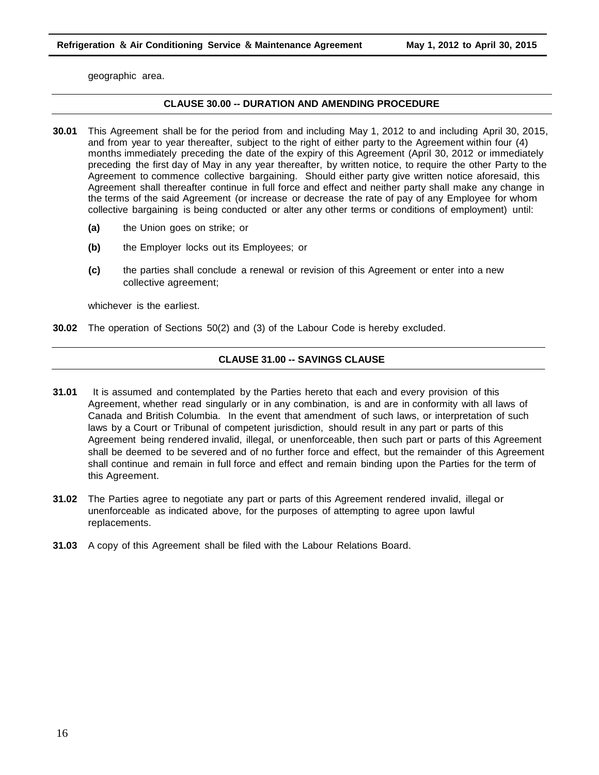geographic area.

#### **CLAUSE 30.00 -- DURATION AND AMENDING PROCEDURE**

- **30.01** This Agreement shall be for the period from and including May 1, 2012 to and including April 30, 2015, and from year to year thereafter, subject to the right of either party to the Agreement within four (4) months immediately preceding the date of the expiry of this Agreement (April 30, 2012 or immediately preceding the first day of May in any year thereafter, by written notice, to require the other Party to the Agreement to commence collective bargaining. Should either party give written notice aforesaid, this Agreement shall thereafter continue in full force and effect and neither party shall make any change in the terms of the said Agreement (or increase or decrease the rate of pay of any Employee for whom collective bargaining is being conducted or alter any other terms or conditions of employment) until:
	- **(a)** the Union goes on strike; or
	- **(b)** the Employer locks out its Employees; or
	- **(c)** the parties shall conclude a renewal or revision of this Agreement or enter into a new collective agreement;

whichever is the earliest.

**30.02** The operation of Sections 50(2) and (3) of the Labour Code is hereby excluded.

#### **CLAUSE 31.00 -- SAVINGS CLAUSE**

- **31.01** It is assumed and contemplated by the Parties hereto that each and every provision of this Agreement, whether read singularly or in any combination, is and are in conformity with all laws of Canada and British Columbia. In the event that amendment of such laws, or interpretation of such laws by a Court or Tribunal of competent jurisdiction, should result in any part or parts of this Agreement being rendered invalid, illegal, or unenforceable, then such part or parts of this Agreement shall be deemed to be severed and of no further force and effect, but the remainder of this Agreement shall continue and remain in full force and effect and remain binding upon the Parties for the term of this Agreement.
- **31.02** The Parties agree to negotiate any part or parts of this Agreement rendered invalid, illegal or unenforceable as indicated above, for the purposes of attempting to agree upon lawful replacements.
- **31.03** A copy of this Agreement shall be filed with the Labour Relations Board.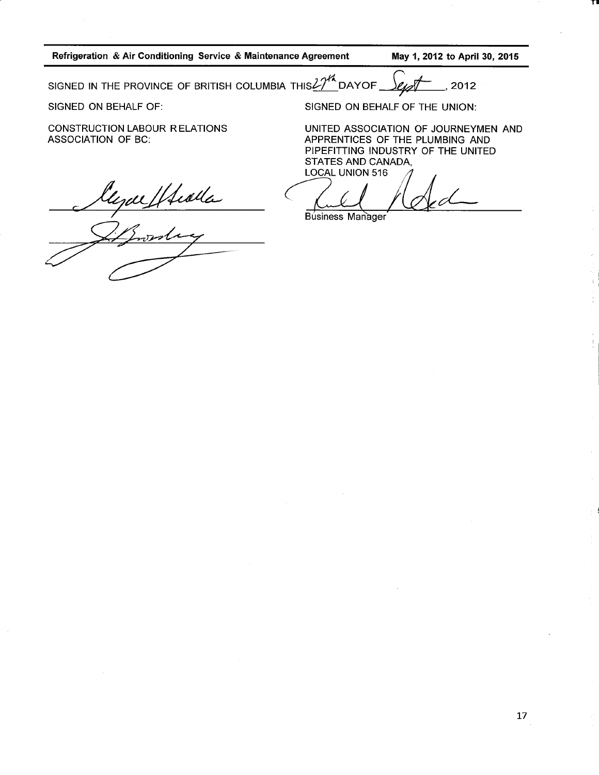Refrigeration & Air Conditioning Service & Maintenance Agreement

May 1, 2012 to April 30, 2015

SIGNED IN THE PROVINCE OF BRITISH COLUMBIA THIS $27^{\prime\prime}$  DAYOF  $\ell$ 2012

SIGNED ON BEHALF OF:

**CONSTRUCTION LABOUR RELATIONS ASSOCIATION OF BC:** 

SIGNED ON BEHALF OF THE UNION:

UNITED ASSOCIATION OF JOURNEYMEN AND APPRENTICES OF THE PLUMBING AND PIPEFITTING INDUSTRY OF THE UNITED STATES AND CANADA, **LOCAL UNION 516** 

**Business Manager** 

Eggel Healta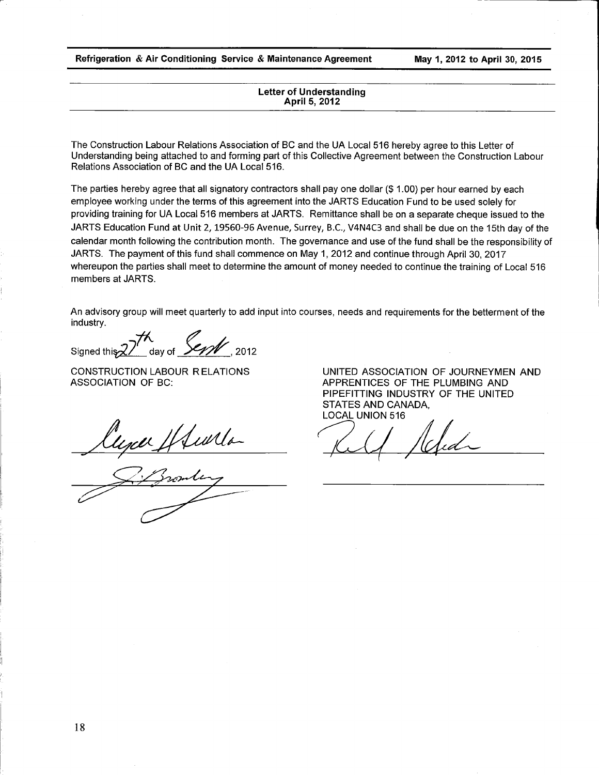Refrigeration & Air Conditioning Service & Maintenance Agreement

May 1, 2012 to April 30, 2015

#### **Letter of Understanding** April 5, 2012

The Construction Labour Relations Association of BC and the UA Local 516 hereby agree to this Letter of Understanding being attached to and forming part of this Collective Agreement between the Construction Labour Relations Association of BC and the UA Local 516.

The parties hereby agree that all signatory contractors shall pay one dollar  $(\$ 1.00)$  per hour earned by each employee working under the terms of this agreement into the JARTS Education Fund to be used solely for providing training for UA Local 516 members at JARTS. Remittance shall be on a separate cheque issued to the JARTS Education Fund at Unit 2, 19560-96 Avenue, Surrey, B.C., V4N4C3 and shall be due on the 15th day of the calendar month following the contribution month. The governance and use of the fund shall be the responsibility of JARTS. The payment of this fund shall commence on May 1, 2012 and continue through April 30, 2017 whereupon the parties shall meet to determine the amount of money needed to continue the training of Local 516 members at JARTS.

An advisory group will meet quarterly to add input into courses, needs and requirements for the betterment of the industry.

 $\sum_{\text{day of}}^{\infty}$ Signed this 2/ 2012

**CONSTRUCTION LABOUR RELATIONS ASSOCIATION OF BC:** 

lyce Hulla

UNITED ASSOCIATION OF JOURNEYMEN AND APPRENTICES OF THE PLUMBING AND PIPEFITTING INDUSTRY OF THE UNITED STATES AND CANADA. **LOCAL UNION 516**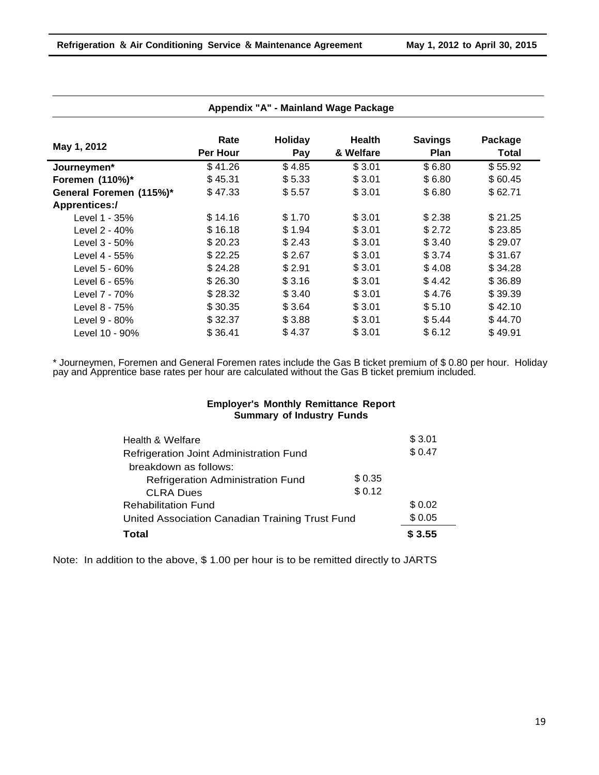|                         | Rate     | Holiday | <b>Health</b> | <b>Savings</b> | Package      |
|-------------------------|----------|---------|---------------|----------------|--------------|
| May 1, 2012             | Per Hour | Pay     | & Welfare     | Plan           | <b>Total</b> |
| Journeymen*             | \$41.26  | \$4.85  | \$3.01        | \$6.80         | \$55.92      |
| Foremen (110%)*         | \$45.31  | \$5.33  | \$3.01        | \$6.80         | \$60.45      |
| General Foremen (115%)* | \$47.33  | \$5.57  | \$3.01        | \$6.80         | \$62.71      |
| <b>Apprentices:/</b>    |          |         |               |                |              |
| Level 1 - 35%           | \$14.16  | \$1.70  | \$3.01        | \$2.38         | \$21.25      |
| Level 2 - 40%           | \$16.18  | \$1.94  | \$3.01        | \$2.72         | \$23.85      |
| Level 3 - 50%           | \$20.23  | \$2.43  | \$3.01        | \$3.40         | \$29.07      |
| Level 4 - 55%           | \$22.25  | \$2.67  | \$3.01        | \$3.74         | \$31.67      |
| Level 5 - 60%           | \$24.28  | \$2.91  | \$3.01        | \$4.08         | \$34.28      |
| Level 6 - 65%           | \$26.30  | \$3.16  | \$3.01        | \$4.42         | \$36.89      |
| Level 7 - 70%           | \$28.32  | \$3.40  | \$3.01        | \$4.76         | \$39.39      |
| Level 8 - 75%           | \$30.35  | \$3.64  | \$3.01        | \$5.10         | \$42.10      |
| Level 9 - 80%           | \$32.37  | \$3.88  | \$3.01        | \$5.44         | \$44.70      |
| Level 10 - 90%          | \$36.41  | \$4.37  | \$3.01        | \$6.12         | \$49.91      |

#### **Appendix "A" - Mainland Wage Package**

\* Journeymen, Foremen and General Foremen rates include the Gas B ticket premium of \$ 0.80 per hour. Holiday pay and Apprentice base rates per hour are calculated without the Gas B ticket premium included.

#### **Employer's Monthly Remittance Report Summary of Industry Funds**

| Health & Welfare                                |        | \$3.01 |
|-------------------------------------------------|--------|--------|
| Refrigeration Joint Administration Fund         |        | \$0.47 |
| breakdown as follows:                           |        |        |
| Refrigeration Administration Fund               | \$0.35 |        |
| <b>CLRA Dues</b>                                | \$0.12 |        |
| <b>Rehabilitation Fund</b>                      |        | \$0.02 |
| United Association Canadian Training Trust Fund |        | \$0.05 |
| <b>Total</b>                                    |        | \$3.55 |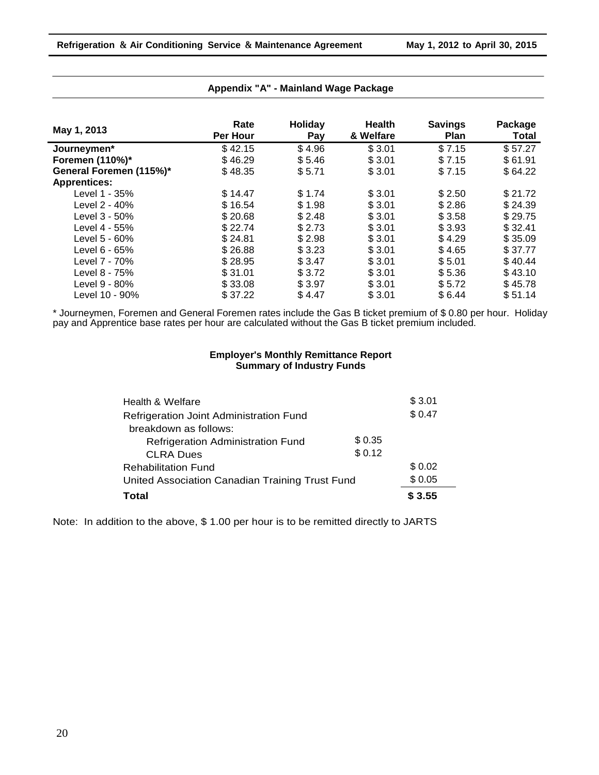| May 1, 2013             | Rate<br>Per Hour | Holiday<br>Pay | <b>Health</b><br>& Welfare | <b>Savings</b><br><b>Plan</b> | Package<br>Total |
|-------------------------|------------------|----------------|----------------------------|-------------------------------|------------------|
| Journeymen*             | \$42.15          | \$4.96         | \$3.01                     | \$7.15                        | \$57.27          |
| Foremen (110%)*         | \$46.29          | \$5.46         | \$3.01                     | \$7.15                        | \$61.91          |
| General Foremen (115%)* | \$48.35          | \$5.71         | \$3.01                     | \$7.15                        | \$64.22          |
| <b>Apprentices:</b>     |                  |                |                            |                               |                  |
| Level 1 - 35%           | \$14.47          | \$1.74         | \$3.01                     | \$2.50                        | \$21.72          |
| Level 2 - 40%           | \$16.54          | \$1.98         | \$3.01                     | \$2.86                        | \$24.39          |
| Level 3 - 50%           | \$20.68          | \$2.48         | \$3.01                     | \$3.58                        | \$29.75          |
| Level 4 - 55%           | \$22.74          | \$2.73         | \$3.01                     | \$3.93                        | \$32.41          |
| Level 5 - 60%           | \$24.81          | \$2.98         | \$3.01                     | \$4.29                        | \$35.09          |
| Level 6 - 65%           | \$26.88          | \$3.23         | \$3.01                     | \$4.65                        | \$37.77          |
| Level 7 - 70%           | \$28.95          | \$3.47         | \$3.01                     | \$5.01                        | \$40.44          |
| Level 8 - 75%           | \$31.01          | \$3.72         | \$3.01                     | \$5.36                        | \$43.10          |
| Level 9 - 80%           | \$33.08          | \$3.97         | \$3.01                     | \$5.72                        | \$45.78          |
| Level 10 - 90%          | \$37.22          | \$4.47         | \$3.01                     | \$6.44                        | \$51.14          |

#### **Appendix "A" - Mainland Wage Package**

\* Journeymen, Foremen and General Foremen rates include the Gas B ticket premium of \$ 0.80 per hour. Holiday pay and Apprentice base rates per hour are calculated without the Gas B ticket premium included.

#### **Employer's Monthly Remittance Report Summary of Industry Funds**

| Health & Welfare                                |         | \$3.01 |
|-------------------------------------------------|---------|--------|
| Refrigeration Joint Administration Fund         |         | \$0.47 |
| breakdown as follows:                           |         |        |
| <b>Refrigeration Administration Fund</b>        | \$ 0.35 |        |
| <b>CLRA Dues</b>                                | \$0.12  |        |
| <b>Rehabilitation Fund</b>                      |         | \$0.02 |
| United Association Canadian Training Trust Fund |         | \$0.05 |
| <b>Total</b>                                    |         | \$3.55 |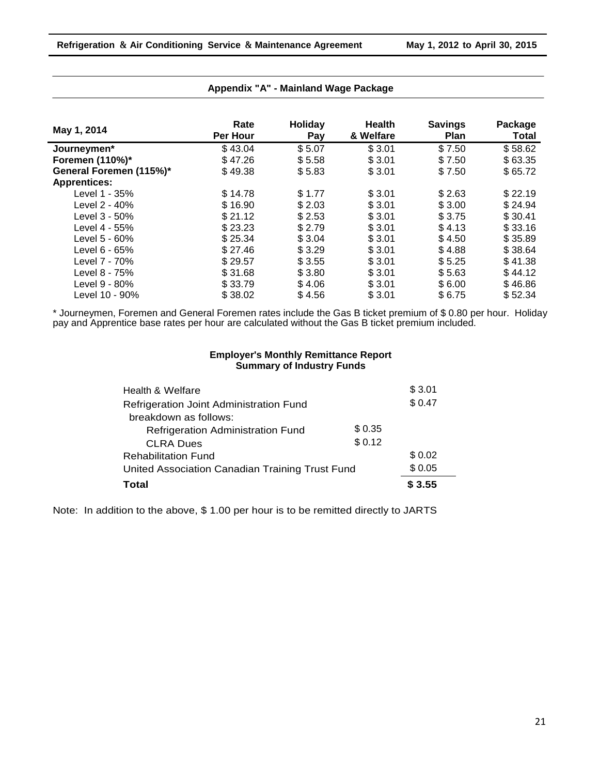| May 1, 2014             | Rate<br>Per Hour | Holiday<br>Pay | <b>Health</b><br>& Welfare | <b>Savings</b><br><b>Plan</b> | Package<br>Total |
|-------------------------|------------------|----------------|----------------------------|-------------------------------|------------------|
| Journeymen*             | \$43.04          | \$5.07         | \$3.01                     | \$7.50                        | \$58.62          |
| Foremen (110%)*         | \$47.26          | \$5.58         | \$3.01                     | \$7.50                        | \$63.35          |
| General Foremen (115%)* | \$49.38          | \$5.83         | \$3.01                     | \$7.50                        | \$65.72          |
| <b>Apprentices:</b>     |                  |                |                            |                               |                  |
| Level 1 - 35%           | \$14.78          | \$1.77         | \$3.01                     | \$2.63                        | \$22.19          |
| Level 2 - 40%           | \$16.90          | \$2.03         | \$3.01                     | \$3.00                        | \$24.94          |
| Level 3 - 50%           | \$21.12          | \$2.53         | \$3.01                     | \$3.75                        | \$30.41          |
| Level 4 - 55%           | \$23.23          | \$2.79         | \$3.01                     | \$4.13                        | \$33.16          |
| Level 5 - 60%           | \$25.34          | \$3.04         | \$3.01                     | \$4.50                        | \$35.89          |
| Level $6 - 65%$         | \$27.46          | \$3.29         | \$3.01                     | \$4.88                        | \$38.64          |
| Level 7 - 70%           | \$29.57          | \$3.55         | \$3.01                     | \$5.25                        | \$41.38          |
| Level 8 - 75%           | \$31.68          | \$3.80         | \$3.01                     | \$5.63                        | \$44.12          |
| Level 9 - 80%           | \$33.79          | \$4.06         | \$3.01                     | \$6.00                        | \$46.86          |
| Level 10 - 90%          | \$38.02          | \$4.56         | \$3.01                     | \$6.75                        | \$52.34          |

#### **Appendix "A" - Mainland Wage Package**

\* Journeymen, Foremen and General Foremen rates include the Gas B ticket premium of \$ 0.80 per hour. Holiday pay and Apprentice base rates per hour are calculated without the Gas B ticket premium included.

#### **Employer's Monthly Remittance Report Summary of Industry Funds**

| Health & Welfare                                |        | \$3.01 |
|-------------------------------------------------|--------|--------|
| Refrigeration Joint Administration Fund         |        | \$0.47 |
| breakdown as follows:                           |        |        |
| <b>Refrigeration Administration Fund</b>        | \$0.35 |        |
| <b>CLRA Dues</b>                                | \$0.12 |        |
| <b>Rehabilitation Fund</b>                      |        | \$0.02 |
| United Association Canadian Training Trust Fund |        | \$0.05 |
| Total                                           |        | \$3.55 |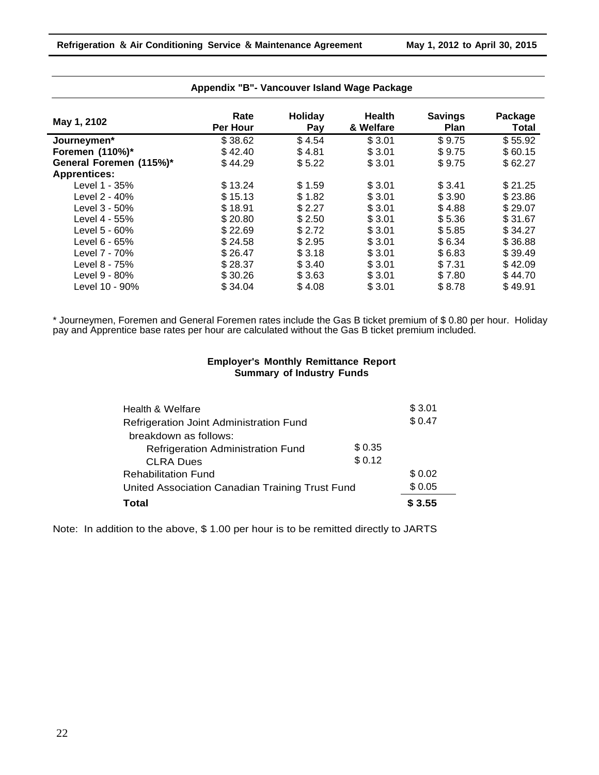| May 1, 2102             | Rate<br>Per Hour | Holiday<br>Pay | <b>Health</b><br>& Welfare | <b>Savings</b><br><b>Plan</b> | Package<br><b>Total</b> |
|-------------------------|------------------|----------------|----------------------------|-------------------------------|-------------------------|
| Journeymen*             | \$38.62          | \$4.54         | \$3.01                     | \$9.75                        | \$55.92                 |
| Foremen (110%)*         | \$42.40          | \$4.81         | \$3.01                     | \$9.75                        | \$60.15                 |
| General Foremen (115%)* | \$44.29          | \$5.22         | \$3.01                     | \$9.75                        | \$62.27                 |
| <b>Apprentices:</b>     |                  |                |                            |                               |                         |
| Level 1 - 35%           | \$13.24          | \$1.59         | \$3.01                     | \$3.41                        | \$21.25                 |
| Level 2 - 40%           | \$15.13          | \$1.82         | \$3.01                     | \$3.90                        | \$23.86                 |
| Level 3 - 50%           | \$18.91          | \$2.27         | \$3.01                     | \$4.88                        | \$29.07                 |
| Level 4 - 55%           | \$20.80          | \$2.50         | \$3.01                     | \$5.36                        | \$31.67                 |
| Level 5 - 60%           | \$22.69          | \$2.72         | \$3.01                     | \$5.85                        | \$34.27                 |
| Level 6 - 65%           | \$24.58          | \$2.95         | \$3.01                     | \$6.34                        | \$36.88                 |
| Level 7 - 70%           | \$26.47          | \$3.18         | \$3.01                     | \$6.83                        | \$39.49                 |
| Level 8 - 75%           | \$28.37          | \$3.40         | \$3.01                     | \$7.31                        | \$42.09                 |
| Level 9 - 80%           | \$30.26          | \$3.63         | \$3.01                     | \$7.80                        | \$44.70                 |
| Level 10 - 90%          | \$34.04          | \$4.08         | \$3.01                     | \$8.78                        | \$49.91                 |

#### **Appendix "B"- Vancouver Island Wage Package**

\* Journeymen, Foremen and General Foremen rates include the Gas B ticket premium of \$ 0.80 per hour. Holiday pay and Apprentice base rates per hour are calculated without the Gas B ticket premium included.

#### **Employer's Monthly Remittance Report Summary of Industry Funds**

| Health & Welfare                                |         | \$3.01 |
|-------------------------------------------------|---------|--------|
| Refrigeration Joint Administration Fund         |         | \$0.47 |
| breakdown as follows:                           |         |        |
| <b>Refrigeration Administration Fund</b>        | \$ 0.35 |        |
| <b>CLRA Dues</b>                                | \$0.12  |        |
| <b>Rehabilitation Fund</b>                      |         | \$0.02 |
| United Association Canadian Training Trust Fund |         | \$0.05 |
| Total                                           |         | \$3.55 |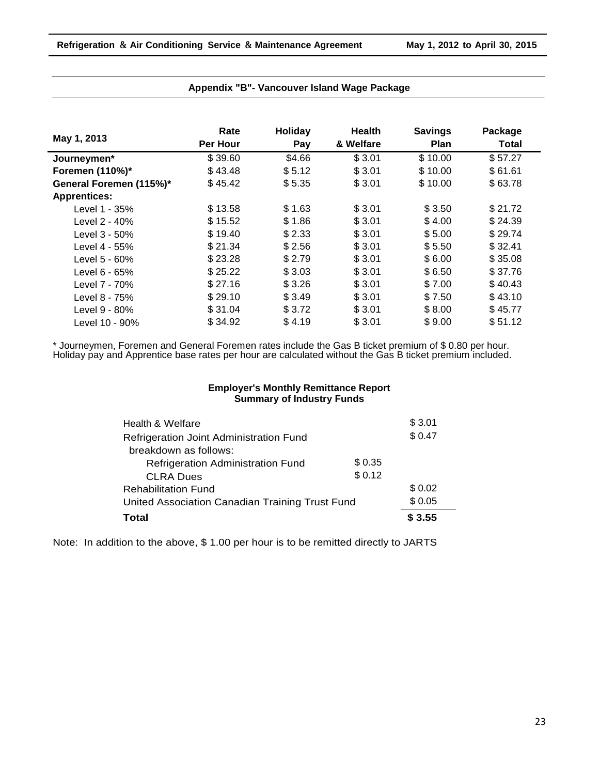|                         | Rate     | <b>Holiday</b> | <b>Health</b> | <b>Savings</b> | Package |
|-------------------------|----------|----------------|---------------|----------------|---------|
| May 1, 2013             | Per Hour | Pay            | & Welfare     | <b>Plan</b>    | Total   |
| Journeymen*             | \$39.60  | \$4.66         | \$3.01        | \$10.00        | \$57.27 |
| Foremen (110%)*         | \$43.48  | \$5.12         | \$3.01        | \$10.00        | \$61.61 |
| General Foremen (115%)* | \$45.42  | \$5.35         | \$3.01        | \$10.00        | \$63.78 |
| <b>Apprentices:</b>     |          |                |               |                |         |
| Level 1 - 35%           | \$13.58  | \$1.63         | \$3.01        | \$3.50         | \$21.72 |
| Level 2 - 40%           | \$15.52  | \$1.86         | \$3.01        | \$4.00         | \$24.39 |
| Level 3 - 50%           | \$19.40  | \$2.33         | \$3.01        | \$5.00         | \$29.74 |
| Level 4 - 55%           | \$21.34  | \$2.56         | \$3.01        | \$5.50         | \$32.41 |
| Level 5 - 60%           | \$23.28  | \$2.79         | \$3.01        | \$6.00         | \$35.08 |
| Level 6 - 65%           | \$25.22  | \$3.03         | \$3.01        | \$6.50         | \$37.76 |
| Level 7 - 70%           | \$27.16  | \$3.26         | \$3.01        | \$7.00         | \$40.43 |
| Level 8 - 75%           | \$29.10  | \$3.49         | \$3.01        | \$7.50         | \$43.10 |
| Level 9 - 80%           | \$31.04  | \$3.72         | \$3.01        | \$8.00         | \$45.77 |
| Level 10 - 90%          | \$34.92  | \$4.19         | \$3.01        | \$9.00         | \$51.12 |

#### **Appendix "B"- Vancouver Island Wage Package**

\* Journeymen, Foremen and General Foremen rates include the Gas B ticket premium of \$ 0.80 per hour. Holiday pay and Apprentice base rates per hour are calculated without the Gas B ticket premium included.

#### **Employer's Monthly Remittance Report Summary of Industry Funds**

| Health & Welfare                                |         | \$3.01 |
|-------------------------------------------------|---------|--------|
| Refrigeration Joint Administration Fund         |         | \$0.47 |
| breakdown as follows:                           |         |        |
| <b>Refrigeration Administration Fund</b>        | \$ 0.35 |        |
| <b>CLRA Dues</b>                                | \$0.12  |        |
| <b>Rehabilitation Fund</b>                      |         | \$0.02 |
| United Association Canadian Training Trust Fund |         | \$0.05 |
| <b>Total</b>                                    |         | \$3.55 |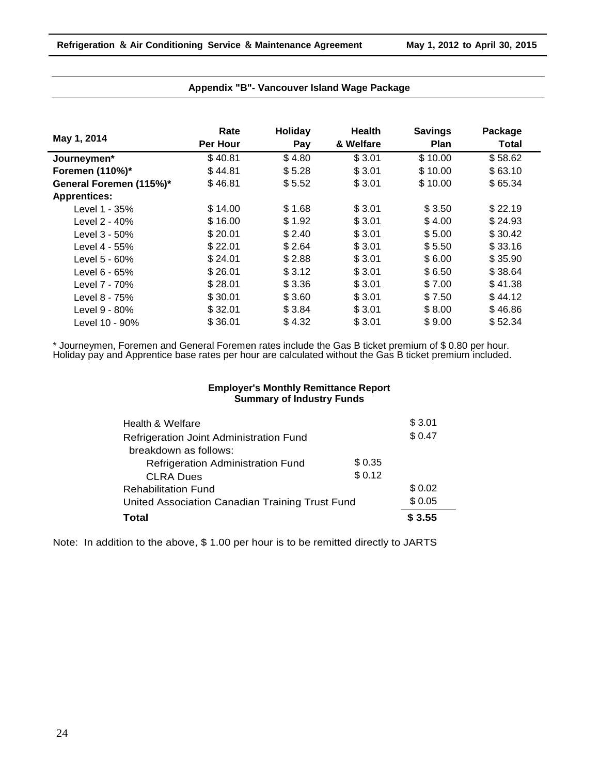| May 1, 2014             | Rate     | Holiday | <b>Health</b> | <b>Savings</b> | Package |
|-------------------------|----------|---------|---------------|----------------|---------|
|                         | Per Hour | Pay     | & Welfare     | <b>Plan</b>    | Total   |
| Journeymen*             | \$40.81  | \$4.80  | \$3.01        | \$10.00        | \$58.62 |
| Foremen (110%)*         | \$44.81  | \$5.28  | \$3.01        | \$10.00        | \$63.10 |
| General Foremen (115%)* | \$46.81  | \$5.52  | \$3.01        | \$10.00        | \$65.34 |
| <b>Apprentices:</b>     |          |         |               |                |         |
| Level 1 - 35%           | \$14.00  | \$1.68  | \$3.01        | \$3.50         | \$22.19 |
| Level 2 - 40%           | \$16.00  | \$1.92  | \$3.01        | \$4.00         | \$24.93 |
| Level 3 - 50%           | \$20.01  | \$2.40  | \$3.01        | \$5.00         | \$30.42 |
| Level 4 - 55%           | \$22.01  | \$2.64  | \$3.01        | \$5.50         | \$33.16 |
| Level 5 - 60%           | \$24.01  | \$2.88  | \$3.01        | \$6.00         | \$35.90 |
| Level 6 - 65%           | \$26.01  | \$3.12  | \$3.01        | \$6.50         | \$38.64 |
| Level 7 - 70%           | \$28.01  | \$3.36  | \$3.01        | \$7.00         | \$41.38 |
| Level 8 - 75%           | \$30.01  | \$3.60  | \$3.01        | \$7.50         | \$44.12 |
| Level 9 - 80%           | \$32.01  | \$3.84  | \$3.01        | \$8.00         | \$46.86 |
| Level 10 - 90%          | \$36.01  | \$4.32  | \$3.01        | \$9.00         | \$52.34 |

#### **Appendix "B"- Vancouver Island Wage Package**

\* Journeymen, Foremen and General Foremen rates include the Gas B ticket premium of \$ 0.80 per hour. Holiday pay and Apprentice base rates per hour are calculated without the Gas B ticket premium included.

#### **Employer's Monthly Remittance Report Summary of Industry Funds**

| Health & Welfare                                |         | \$3.01 |
|-------------------------------------------------|---------|--------|
| Refrigeration Joint Administration Fund         |         | \$0.47 |
| breakdown as follows:                           |         |        |
| Refrigeration Administration Fund               | \$ 0.35 |        |
| <b>CLRA Dues</b>                                | \$0.12  |        |
| <b>Rehabilitation Fund</b>                      |         | \$0.02 |
| United Association Canadian Training Trust Fund | \$0.05  |        |
| <b>Total</b>                                    |         | \$3.55 |